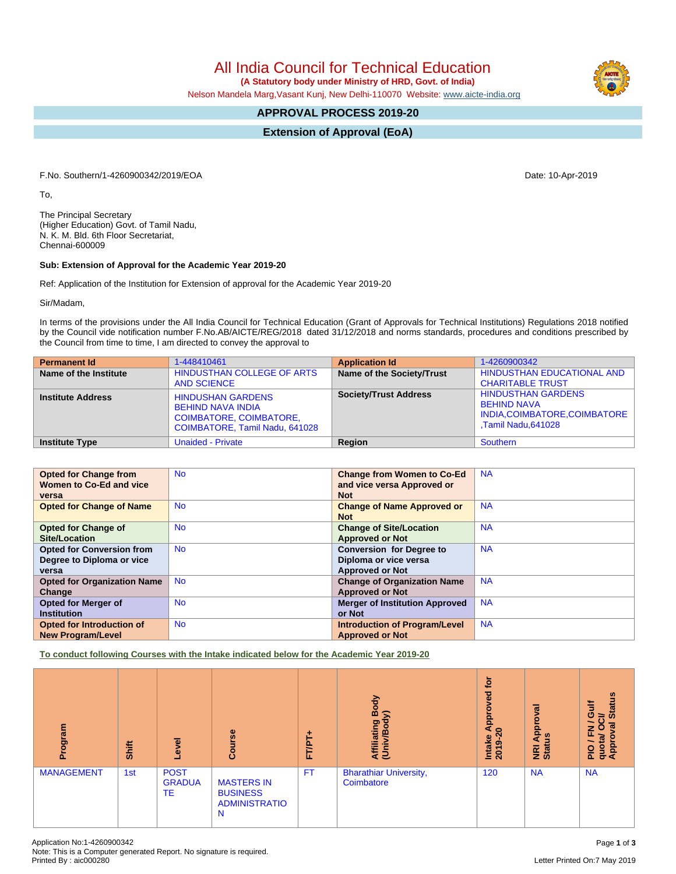All India Council for Technical Education

 **(A Statutory body under Ministry of HRD, Govt. of India)**

Nelson Mandela Marg,Vasant Kunj, New Delhi-110070 Website: [www.aicte-india.org](http://www.aicte-india.org)

## **APPROVAL PROCESS 2019-20**

**Extension of Approval (EoA)**

F.No. Southern/1-4260900342/2019/EOA Date: 10-Apr-2019

To,

The Principal Secretary (Higher Education) Govt. of Tamil Nadu, N. K. M. Bld. 6th Floor Secretariat, Chennai-600009

#### **Sub: Extension of Approval for the Academic Year 2019-20**

Ref: Application of the Institution for Extension of approval for the Academic Year 2019-20

Sir/Madam,

In terms of the provisions under the All India Council for Technical Education (Grant of Approvals for Technical Institutions) Regulations 2018 notified by the Council vide notification number F.No.AB/AICTE/REG/2018 dated 31/12/2018 and norms standards, procedures and conditions prescribed by the Council from time to time, I am directed to convey the approval to

| <b>Permanent Id</b>      | 1-448410461                                                                                                              | <b>Application Id</b>        | 1-4260900342                                                                                           |
|--------------------------|--------------------------------------------------------------------------------------------------------------------------|------------------------------|--------------------------------------------------------------------------------------------------------|
| Name of the Institute    | HINDUSTHAN COLLEGE OF ARTS<br><b>AND SCIENCE</b>                                                                         | Name of the Society/Trust    | HINDUSTHAN EDUCATIONAL AND<br><b>CHARITABLE TRUST</b>                                                  |
| <b>Institute Address</b> | <b>HINDUSHAN GARDENS</b><br><b>BEHIND NAVA INDIA</b><br><b>COIMBATORE, COIMBATORE,</b><br>COIMBATORE, Tamil Nadu, 641028 | <b>Society/Trust Address</b> | <b>HINDUSTHAN GARDENS</b><br><b>BEHIND NAVA</b><br>INDIA, COIMBATORE, COIMBATORE<br>Tamil Nadu,641028, |
| <b>Institute Type</b>    | <b>Unaided - Private</b>                                                                                                 | Region                       | Southern                                                                                               |

| <b>Opted for Change from</b>       | <b>No</b> | <b>Change from Women to Co-Ed</b>     | <b>NA</b> |
|------------------------------------|-----------|---------------------------------------|-----------|
| Women to Co-Ed and vice            |           | and vice versa Approved or            |           |
| versa                              |           | <b>Not</b>                            |           |
| <b>Opted for Change of Name</b>    | <b>No</b> | <b>Change of Name Approved or</b>     | <b>NA</b> |
|                                    |           | <b>Not</b>                            |           |
| <b>Opted for Change of</b>         | <b>No</b> | <b>Change of Site/Location</b>        | <b>NA</b> |
| Site/Location                      |           | <b>Approved or Not</b>                |           |
| <b>Opted for Conversion from</b>   | <b>No</b> | <b>Conversion for Degree to</b>       | <b>NA</b> |
| Degree to Diploma or vice          |           | Diploma or vice versa                 |           |
| versa                              |           | <b>Approved or Not</b>                |           |
| <b>Opted for Organization Name</b> | <b>No</b> | <b>Change of Organization Name</b>    | <b>NA</b> |
| Change                             |           | <b>Approved or Not</b>                |           |
| <b>Opted for Merger of</b>         | <b>No</b> | <b>Merger of Institution Approved</b> | <b>NA</b> |
| <b>Institution</b>                 |           | or Not                                |           |
| Opted for Introduction of          | <b>No</b> | <b>Introduction of Program/Level</b>  | <b>NA</b> |
| <b>New Program/Level</b>           |           | <b>Approved or Not</b>                |           |

**To conduct following Courses with the Intake indicated below for the Academic Year 2019-20**

| rogram<br>ō.      | <b>Shift</b> | Level                              | Course                                                            | ٠<br>FT/PT | Body<br>⋦<br>Affiliating<br>(Univ/Bod       | <b>b</b><br>yed<br>Approv<br>$\circ$<br>$\overline{\mathbf{N}}$<br>Intake<br>ക<br>$\overline{20}$ | ζā<br><b>Appro</b><br>Ξ<br><b>NRI</b><br>Stat | <b>Status</b><br>這<br>0<br>ភិ<br>ह<br>$\circ$<br>준<br>quota/<br>Approv<br>P <sub>10</sub> |
|-------------------|--------------|------------------------------------|-------------------------------------------------------------------|------------|---------------------------------------------|---------------------------------------------------------------------------------------------------|-----------------------------------------------|-------------------------------------------------------------------------------------------|
| <b>MANAGEMENT</b> | 1st          | <b>POST</b><br><b>GRADUA</b><br>TE | <b>MASTERS IN</b><br><b>BUSINESS</b><br><b>ADMINISTRATIO</b><br>N | <b>FT</b>  | <b>Bharathiar University,</b><br>Coimbatore | 120                                                                                               | <b>NA</b>                                     | <b>NA</b>                                                                                 |